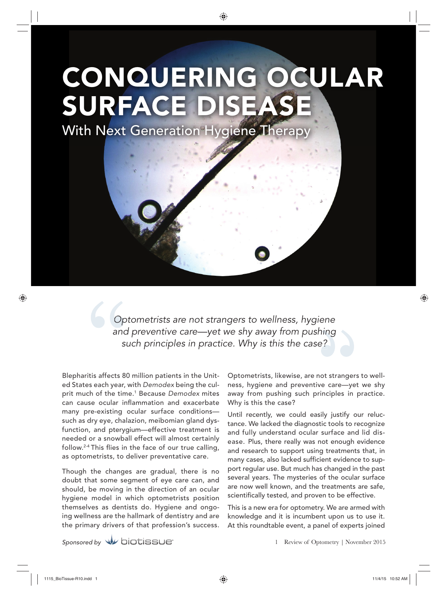# CONQUERING OCULAR SURFACE DISEAS

With Next Generation Hygiene Therapy

*Optometrists are not strangers to wellness, hygiene Op and preventive care—yet we shy away from pushing hing* such principles in practice. Why is this the case?

Blepharitis affects 80 million patients in the United States each year, with *Demodex* being the culprit much of the time.1 Because *Demodex* mites can cause ocular inflammation and exacerbate many pre-existing ocular surface conditions such as dry eye, chalazion, meibomian gland dysfunction, and pterygium—effective treatment is needed or a snowball effect will almost certainly follow.<sup>2-4</sup> This flies in the face of our true calling, as optometrists, to deliver preventative care.

Though the changes are gradual, there is no doubt that some segment of eye care can, and should, be moving in the direction of an ocular hygiene model in which optometrists position themselves as dentists do. Hygiene and ongoing wellness are the hallmark of dentistry and are the primary drivers of that profession's success.

Optometrists, likewise, are not strangers to wellness, hygiene and preventive care—yet we shy away from pushing such principles in practice. Why is this the case?

Until recently, we could easily justify our reluctance. We lacked the diagnostic tools to recognize and fully understand ocular surface and lid disease. Plus, there really was not enough evidence and research to support using treatments that, in many cases, also lacked sufficient evidence to support regular use. But much has changed in the past several years. The mysteries of the ocular surface are now well known, and the treatments are safe, scientifically tested, and proven to be effective.

This is a new era for optometry. We are armed with knowledge and it is incumbent upon us to use it. At this roundtable event, a panel of experts joined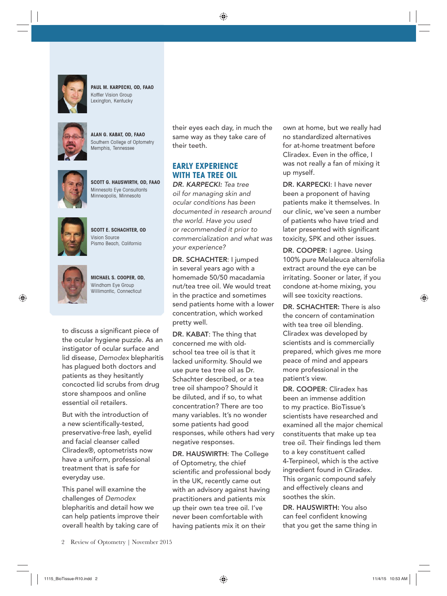

**PAUL M. KARPECKI, OD, FAAO** Koffler Vision Group Lexington, Kentucky



**ALAN G. KABAT, OD, FAAO** Southern College of Optometry Memphis, Tennessee



**SCOTT G. HAUSWIRTH, OD, FAAO** Minnesota Eye Consultants Minneapolis, Minnesota



**SCOTT E. SCHACHTER, OD** Vision Source Pismo Beach, California



**MICHAEL S. COOPER, OD,** Windham Eye Group Willimantic, Connecticut

to discuss a significant piece of the ocular hygiene puzzle. As an instigator of ocular surface and lid disease, *Demodex* blepharitis has plagued both doctors and patients as they hesitantly concocted lid scrubs from drug store shampoos and online essential oil retailers.

But with the introduction of a new scientifically-tested, preservative-free lash, eyelid and facial cleanser called Cliradex®, optometrists now have a uniform, professional treatment that is safe for everyday use.

This panel will examine the challenges of *Demodex* blepharitis and detail how we can help patients improve their overall health by taking care of

their eyes each day, in much the same way as they take care of their teeth.

## **EARLY EXPERIENCE WITH TEA TREE OIL**

*DR. KARPECKI: Tea tree oil for managing skin and ocular conditions has been documented in research around the world. Have you used or recommended it prior to commercialization and what was your experience?*

DR. SCHACHTER: I jumped in several years ago with a homemade 50/50 macadamia nut/tea tree oil. We would treat in the practice and sometimes send patients home with a lower concentration, which worked pretty well.

DR. KABAT: The thing that concerned me with oldschool tea tree oil is that it lacked uniformity. Should we use pure tea tree oil as Dr. Schachter described, or a tea tree oil shampoo? Should it be diluted, and if so, to what concentration? There are too many variables. It's no wonder some patients had good responses, while others had very negative responses.

DR. HAUSWIRTH: The College of Optometry, the chief scientific and professional body in the UK, recently came out with an advisory against having practitioners and patients mix up their own tea tree oil. I've never been comfortable with having patients mix it on their

own at home, but we really had no standardized alternatives for at-home treatment before Cliradex. Even in the office, I was not really a fan of mixing it up myself.

DR. KARPECKI: I have never been a proponent of having patients make it themselves. In our clinic, we've seen a number of patients who have tried and later presented with significant toxicity, SPK and other issues.

DR. COOPER: I agree. Using 100% pure Melaleuca alternifolia extract around the eye can be irritating. Sooner or later, if you condone at-home mixing, you will see toxicity reactions.

DR. SCHACHTER: There is also the concern of contamination with tea tree oil blending. Cliradex was developed by scientists and is commercially prepared, which gives me more peace of mind and appears more professional in the patient's view.

DR. COOPER: Cliradex has been an immense addition to my practice. BioTissue's scientists have researched and examined all the major chemical constituents that make up tea tree oil. Their findings led them to a key constituent called 4-Terpineol, which is the active ingredient found in Cliradex. This organic compound safely and effectively cleans and soothes the skin.

DR. HAUSWIRTH: You also can feel confident knowing that you get the same thing in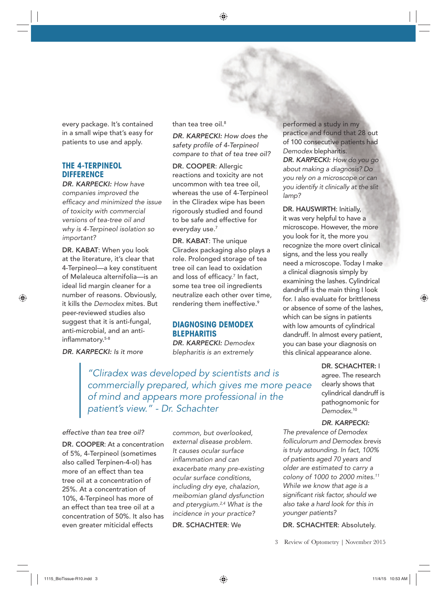every package. It's contained in a small wipe that's easy for patients to use and apply.

#### **THE 4-TERPINEOL DIFFERENCE**

*DR. KARPECKI: How have companies improved the effi cacy and minimized the issue of toxicity with commercial versions of tea-tree oil and why is 4-Terpineol isolation so important?*

DR. KABAT: When you look at the literature, it's clear that 4-Terpineol—a key constituent of Melaleuca alternifolia—is an ideal lid margin cleaner for a number of reasons. Obviously, it kills the *Demodex* mites. But peer-reviewed studies also suggest that it is anti-fungal, anti-microbial, and an antiinflammatory.<sup>5-8</sup>

than tea tree oil.<sup>8</sup>

*DR. KARPECKI: How does the safety profi le of 4-Terpineol compare to that of tea tree oil?*

DR. COOPER: Allergic reactions and toxicity are not uncommon with tea tree oil, whereas the use of 4-Terpineol in the Cliradex wipe has been rigorously studied and found to be safe and effective for everyday use.<sup>7</sup>

DR. KABAT: The unique Cliradex packaging also plays a role. Prolonged storage of tea tree oil can lead to oxidation and loss of efficacy.<sup>7</sup> In fact, some tea tree oil ingredients neutralize each other over time, rendering them ineffective.<sup>9</sup>

#### **DIAGNOSING DEMODEX BLEPHARITIS**

*DR. KARPECKI: Demodex blepharitis is an extremely* 

*"Cliradex was developed by scientists and is commercially prepared, which gives me more peace of mind and appears more professional in the patient's view." - Dr. Schachter* 

#### *effective than tea tree oil?*

*DR. KARPECKI: Is it more* 

DR. COOPER: At a concentration of 5%, 4-Terpineol (sometimes also called Terpinen-4-ol) has more of an effect than tea tree oil at a concentration of 25%. At a concentration of 10%, 4-Terpineol has more of an effect than tea tree oil at a concentration of 50%. It also has even greater miticidal effects

*common, but overlooked, external disease problem. It causes ocular surface infl ammation and can exacerbate many pre-existing ocular surface conditions, including dry eye, chalazion, meibomian gland dysfunction and pterygium.2,4 What is the incidence in your practice?*

DR. SCHACHTER: We

performed a study in my practice and found that 28 out of 100 consecutive patients had *Demodex* blepharitis. *DR. KARPECKI: How do you go about making a diagnosis? Do you rely on a microscope or can you identify it clinically at the slit lamp?* 

DR. HAUSWIRTH: Initially, it was very helpful to have a microscope. However, the more you look for it, the more you recognize the more overt clinical signs, and the less you really need a microscope. Today I make a clinical diagnosis simply by examining the lashes. Cylindrical dandruff is the main thing I look for. I also evaluate for brittleness or absence of some of the lashes, which can be signs in patients with low amounts of cylindrical dandruff. In almost every patient, you can base your diagnosis on this clinical appearance alone.

> DR. SCHACHTER: I agree. The research clearly shows that cylindrical dandruff is pathognomonic for *Demodex*. 10

#### *DR. KARPECKI:*

*The prevalence of Demodex folliculorum and Demodex brevis is truly astounding. In fact, 100% of patients aged 70 years and older are estimated to carry a colony of 1000 to 2000 mites.11 While we know that age is a signifi cant risk factor, should we also take a hard look for this in younger patients?*

DR. SCHACHTER: Absolutely.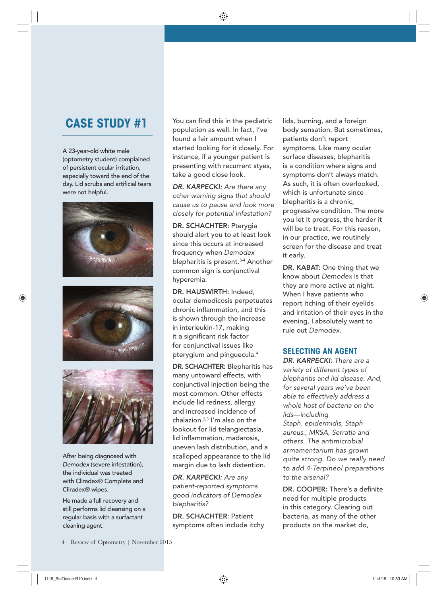# **CASE STUDY #1**

A 23-year-old white male (optometry student) complained of persistent ocular irritation, especially toward the end of the day. Lid scrubs and artificial tears were not helpful.







After being diagnosed with *Demodex* (severe infestation), the individual was treated with Cliradex® Complete and Cliradex® wipes.

He made a full recovery and still performs lid cleansing on a regular basis with a surfactant cleaning agent.

You can find this in the pediatric population as well. In fact, I've found a fair amount when I started looking for it closely. For instance, if a younger patient is presenting with recurrent styes, take a good close look.

*DR. KARPECKI: Are there any other warning signs that should cause us to pause and look more closely for potential infestation?*

DR. SCHACHTER: Pterygia should alert you to at least look since this occurs at increased frequency when *Demodex* blepharitis is present.<sup>3-4</sup> Another common sign is conjunctival hyperemia.

DR. HAUSWIRTH: Indeed, ocular demodicosis perpetuates chronic inflammation, and this is shown through the increase in interleukin-17, making it a significant risk factor for conjunctival issues like pterygium and pinguecula.4

DR. SCHACHTER: Blepharitis has many untoward effects, with conjunctival injection being the most common. Other effects include lid redness, allergy and increased incidence of chalazion.2,3 I'm also on the lookout for lid telangiectasia, lid inflammation, madarosis, uneven lash distribution, and a scalloped appearance to the lid margin due to lash distention.

*DR. KARPECKI: Are any patient-reported symptoms good indicators of Demodex blepharitis?* 

DR. SCHACHTER: Patient symptoms often include itchy

lids, burning, and a foreign body sensation. But sometimes, patients don't report symptoms. Like many ocular surface diseases, blepharitis is a condition where signs and symptoms don't always match. As such, it is often overlooked, which is unfortunate since blepharitis is a chronic, progressive condition. The more you let it progress, the harder it will be to treat. For this reason, in our practice, we routinely screen for the disease and treat it early.

DR. KABAT: One thing that we know about *Demodex* is that they are more active at night. When I have patients who report itching of their eyelids and irritation of their eyes in the evening, I absolutely want to rule out *Demodex*.

## **SELECTING AN AGENT**

*DR. KARPECKI: There are a variety of different types of blepharitis and lid disease. And, for several years we've been able to effectively address a whole host of bacteria on the lids—including Staph. epidermidis, Staph aureus., MRSA, Serratia and others. The antimicrobial armamentarium has grown quite strong. Do we really need to add 4-Terpineol preparations to the arsenal?*

DR. COOPER: There's a definite need for multiple products in this category. Clearing out bacteria, as many of the other products on the market do,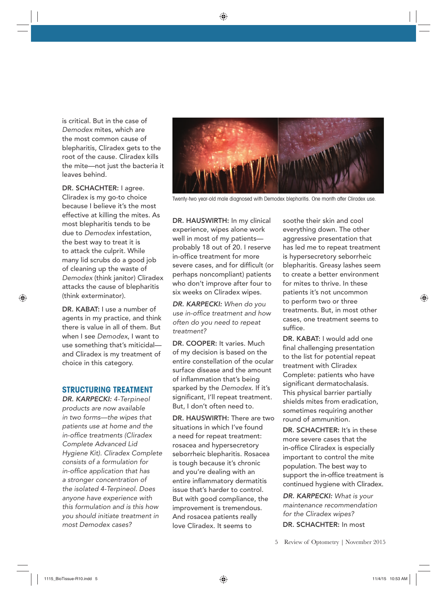is critical. But in the case of *Demodex* mites, which are the most common cause of blepharitis, Cliradex gets to the root of the cause. Cliradex kills the mite—not just the bacteria it leaves behind.

DR. SCHACHTER: I agree. Cliradex is my go-to choice because I believe it's the most effective at killing the mites. As most blepharitis tends to be due to *Demodex* infestation, the best way to treat it is to attack the culprit. While many lid scrubs do a good job of cleaning up the waste of *Demodex* (think janitor) Cliradex attacks the cause of blepharitis (think exterminator).

DR. KABAT: I use a number of agents in my practice, and think there is value in all of them. But when I see *Demodex*, I want to use something that's miticidal and Cliradex is my treatment of choice in this category.

### **STRUCTURING TREATMENT**

*DR. KARPECKI: 4-Terpineol products are now available in two forms—the wipes that patients use at home and the in-offi ce treatments (Cliradex Complete Advanced Lid Hygiene Kit). Cliradex Complete consists of a formulation for*  in-office application that has *a stronger concentration of the isolated 4-Terpineol. Does anyone have experience with this formulation and is this how you should initiate treatment in most Demodex cases?*



Twenty-two year-old male diagnosed with Demodex blepharitis. One month after Cliradex use.

DR. HAUSWIRTH: In my clinical experience, wipes alone work well in most of my patients probably 18 out of 20. I reserve in-office treatment for more severe cases, and for difficult (or perhaps noncompliant) patients who don't improve after four to six weeks on Cliradex wipes.

*DR. KARPECKI: When do you use in-offi ce treatment and how often do you need to repeat treatment?*

DR. COOPER: It varies. Much of my decision is based on the entire constellation of the ocular surface disease and the amount of inflammation that's being sparked by the *Demodex*. If it's significant, I'll repeat treatment. But, I don't often need to.

DR. HAUSWIRTH: There are two situations in which I've found a need for repeat treatment: rosacea and hypersecretory seborrheic blepharitis. Rosacea is tough because it's chronic and you're dealing with an entire inflammatory dermatitis issue that's harder to control. But with good compliance, the improvement is tremendous. And rosacea patients really love Cliradex. It seems to

soothe their skin and cool everything down. The other aggressive presentation that has led me to repeat treatment is hypersecretory seborrheic blepharitis. Greasy lashes seem to create a better environment for mites to thrive. In these patients it's not uncommon to perform two or three treatments. But, in most other cases, one treatment seems to suffice.

DR. KABAT: I would add one final challenging presentation to the list for potential repeat treatment with Cliradex Complete: patients who have significant dermatochalasis. This physical barrier partially shields mites from eradication, sometimes requiring another round of ammunition.

DR. SCHACHTER: It's in these more severe cases that the in-office Cliradex is especially important to control the mite population. The best way to support the in-office treatment is continued hygiene with Cliradex.

*DR. KARPECKI: What is your maintenance recommendation for the Cliradex wipes?*  DR. SCHACHTER: In most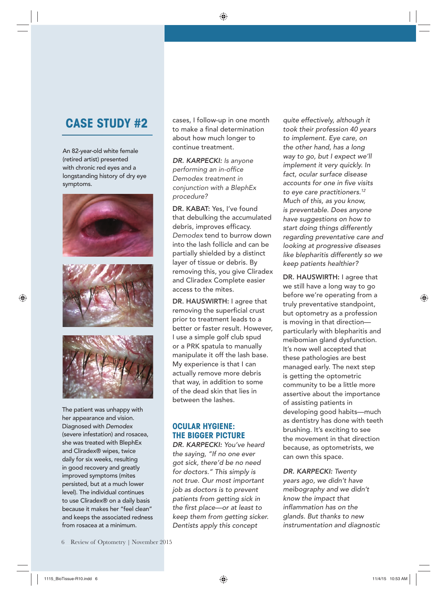# **CASE STUDY #2**

An 82-year-old white female (retired artist) presented with chronic red eyes and a longstanding history of dry eye symptoms.







The patient was unhappy with her appearance and vision. Diagnosed with *Demodex* (severe infestation) and rosacea, she was treated with BlephEx and Cliradex® wipes, twice daily for six weeks, resulting in good recovery and greatly improved symptoms (mites persisted, but at a much lower level). The individual continues to use Cliradex® on a daily basis because it makes her "feel clean" and keeps the associated redness from rosacea at a minimum.

cases, I follow-up in one month to make a final determination about how much longer to continue treatment.

*DR. KARPECKI: Is anyone performing an in-offi ce Demodex treatment in conjunction with a BlephEx procedure?*

DR. KABAT: Yes, I've found that debulking the accumulated debris, improves efficacy. *Demodex* tend to burrow down into the lash follicle and can be partially shielded by a distinct layer of tissue or debris. By removing this, you give Cliradex and Cliradex Complete easier access to the mites.

DR. HAUSWIRTH: I agree that removing the superficial crust prior to treatment leads to a better or faster result. However, I use a simple golf club spud or a PRK spatula to manually manipulate it off the lash base. My experience is that I can actually remove more debris that way, in addition to some of the dead skin that lies in between the lashes.

## **OCULAR HYGIENE: THE BIGGER PICTURE**

*DR. KARPECKI: You've heard the saying, "If no one ever got sick, there'd be no need for doctors." This simply is not true. Our most important job as doctors is to prevent patients from getting sick in the fi rst place—or at least to keep them from getting sicker. Dentists apply this concept* 

*quite effectively, although it took their profession 40 years to implement. Eye care, on the other hand, has a long way to go, but I expect we'll implement it very quickly. In fact, ocular surface disease accounts for one in fi ve visits to eye care practitioners.12 Much of this, as you know, is preventable. Does anyone have suggestions on how to start doing things differently regarding preventative care and looking at progressive diseases like blepharitis differently so we keep patients healthier?*

DR. HAUSWIRTH: I agree that we still have a long way to go before we're operating from a truly preventative standpoint, but optometry as a profession is moving in that direction particularly with blepharitis and meibomian gland dysfunction. It's now well accepted that these pathologies are best managed early. The next step is getting the optometric community to be a little more assertive about the importance of assisting patients in developing good habits—much as dentistry has done with teeth brushing. It's exciting to see the movement in that direction because, as optometrists, we can own this space.

*DR. KARPECKI: Twenty years ago, we didn't have meibography and we didn't know the impact that infl ammation has on the glands. But thanks to new instrumentation and diagnostic*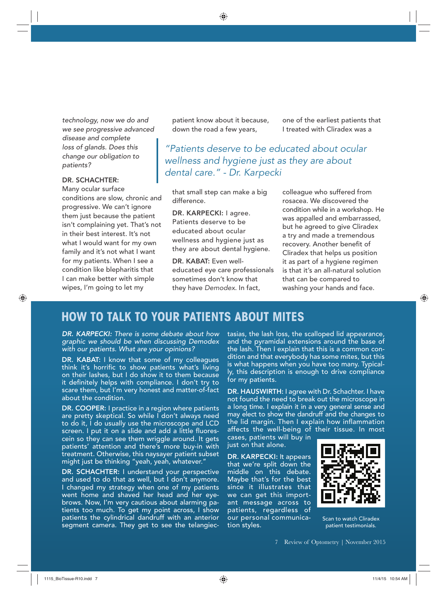*technology, now we do and we see progressive advanced disease and complete loss of glands. Does this change our obligation to patients?*

#### DR. SCHACHTER:

Many ocular surface conditions are slow, chronic and progressive. We can't ignore them just because the patient isn't complaining yet. That's not in their best interest. It's not what I would want for my own family and it's not what I want for my patients. When I see a condition like blepharitis that I can make better with simple wipes, I'm going to let my

patient know about it because, down the road a few years,

one of the earliest patients that I treated with Cliradex was a

*"Patients deserve to be educated about ocular wellness and hygiene just as they are about dental care." - Dr. Karpecki* 

that small step can make a big difference.

DR. KARPECKI: I agree. Patients deserve to be educated about ocular wellness and hygiene just as they are about dental hygiene.

DR. KABAT: Even welleducated eye care professionals sometimes don't know that they have *Demodex*. In fact,

colleague who suffered from rosacea. We discovered the condition while in a workshop. He was appalled and embarrassed, but he agreed to give Cliradex a try and made a tremendous recovery. Another benefit of Cliradex that helps us position it as part of a hygiene regimen is that it's an all-natural solution that can be compared to washing your hands and face.

## **HOW TO TALK TO YOUR PATIENTS ABOUT MITES**

*DR. KARPECKI: There is some debate about how graphic we should be when discussing Demodex with our patients. What are your opinions?*

DR. KABAT: I know that some of my colleagues think it's horrific to show patients what's living on their lashes, but I do show it to them because it definitely helps with compliance. I don't try to scare them, but I'm very honest and matter-of-fact about the condition.

DR. COOPER: I practice in a region where patients are pretty skeptical. So while I don't always need to do it, I do usually use the microscope and LCD screen. I put it on a slide and add a little fluorescein so they can see them wriggle around. It gets patients' attention and there's more buy-in with treatment. Otherwise, this naysayer patient subset might just be thinking "yeah, yeah, whatever."

DR. SCHACHTER: I understand your perspective and used to do that as well, but I don't anymore. I changed my strategy when one of my patients went home and shaved her head and her eyebrows. Now, I'm very cautious about alarming patients too much. To get my point across, I show patients the cylindrical dandruff with an anterior segment camera. They get to see the telangiectasias, the lash loss, the scalloped lid appearance, and the pyramidal extensions around the base of the lash. Then I explain that this is a common condition and that everybody has some mites, but this is what happens when you have too many. Typically, this description is enough to drive compliance for my patients.

DR. HAUSWIRTH: I agree with Dr. Schachter. I have not found the need to break out the microscope in a long time. I explain it in a very general sense and may elect to show the dandruff and the changes to the lid margin. Then I explain how inflammation affects the well-being of their tissue. In most

cases, patients will buy in just on that alone.

DR. KARPECKI: It appears that we're split down the middle on this debate. Maybe that's for the best since it illustrates that we can get this important message across to patients, regardless of our personal communication styles.



Scan to watch Cliradex patient testimonials.